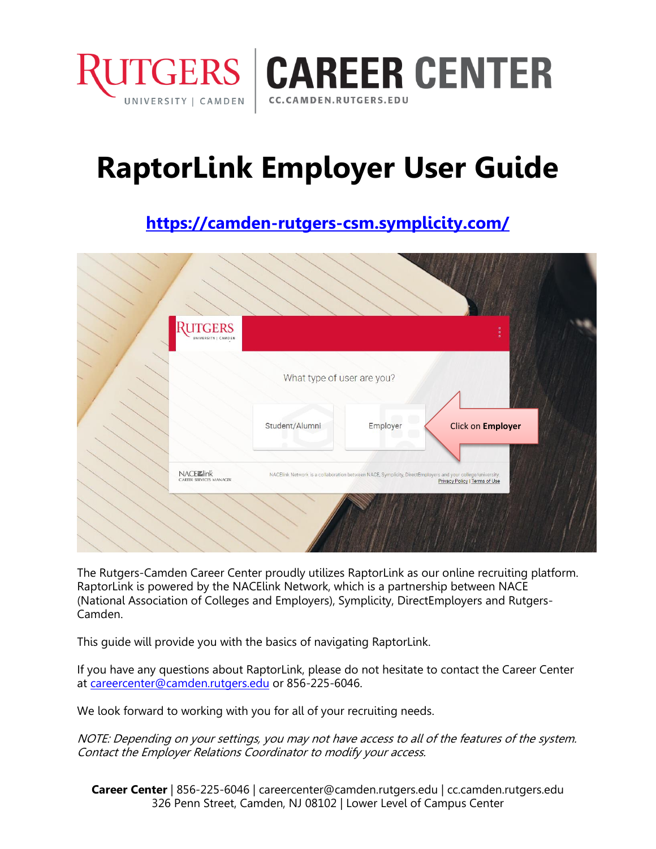

# **RaptorLink Employer User Guide**

# **<https://camden-rutgers-csm.symplicity.com/>**

| <b>RUTGERS</b><br>UNIVERSITY   CAMDEN |                            |                                                                                                            | $\circ$                              |  |
|---------------------------------------|----------------------------|------------------------------------------------------------------------------------------------------------|--------------------------------------|--|
|                                       | What type of user are you? |                                                                                                            |                                      |  |
|                                       | Student/Alumni             | Employer                                                                                                   | Click on Employer                    |  |
| NACEZ link<br>CAREER SERVICES MANAGER |                            | NACElink Network is a collaboration between NACE, Symplicity, DirectEmployers and your college/university. | <b>Privacy Policy   Terms of Use</b> |  |
|                                       |                            |                                                                                                            |                                      |  |

The Rutgers-Camden Career Center proudly utilizes RaptorLink as our online recruiting platform. RaptorLink is powered by the NACElink Network, which is a partnership between NACE (National Association of Colleges and Employers), Symplicity, DirectEmployers and Rutgers-Camden.

This guide will provide you with the basics of navigating RaptorLink.

If you have any questions about RaptorLink, please do not hesitate to contact the Career Center at [careercenter@camden.rutgers.edu](mailto:careercenter@camden.rutgers.edu) or 856-225-6046.

We look forward to working with you for all of your recruiting needs.

NOTE: Depending on your settings, you may not have access to all of the features of the system. Contact the Employer Relations Coordinator to modify your access.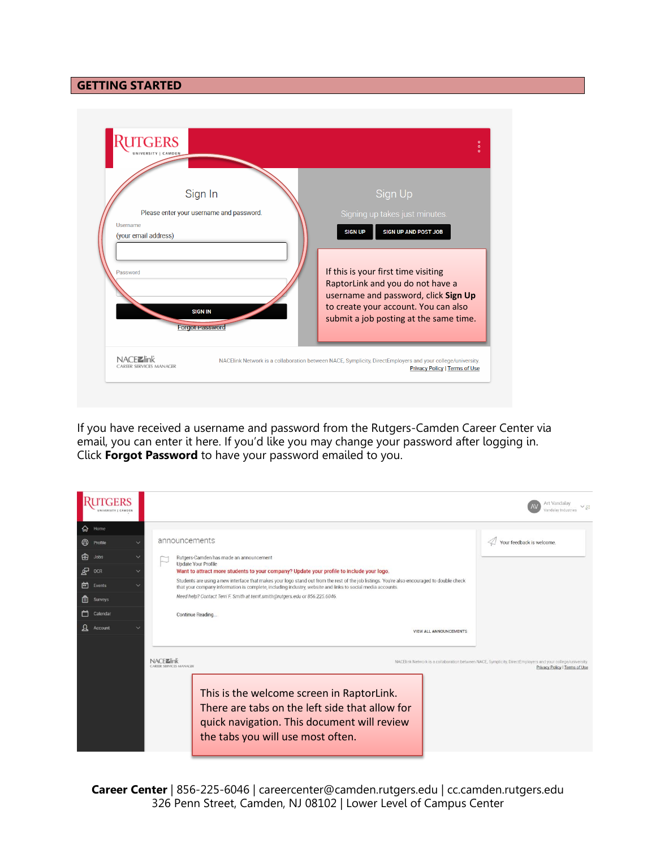## **GETTING STARTED**

|                      | Sign In                                  | Sign Up                                                                                                                                                                                           |
|----------------------|------------------------------------------|---------------------------------------------------------------------------------------------------------------------------------------------------------------------------------------------------|
|                      | Please enter your username and password. | Signing up takes just minutes.                                                                                                                                                                    |
| (your email address) |                                          | <b>SIGN UP AND POST JOB</b><br><b>SIGN UP</b>                                                                                                                                                     |
| Password             | <b>SIGN IN</b><br><b>Forgot Password</b> | If this is your first time visiting<br>RaptorLink and you do not have a<br>username and password, click Sign Up<br>to create your account. You can also<br>submit a job posting at the same time. |
| <b>NACFZ</b> link    |                                          | NACElink Network is a collaboration between NACE, Symplicity, DirectEmployers and your college/university.                                                                                        |

If you have received a username and password from the Rutgers-Camden Career Center via email, you can enter it here. If you'd like you may change your password after logging in. Click **Forgot Password** to have your password emailed to you.

|              |          |              |                                                                                                                                                                                                                                                           | Art Vandalav<br>VE<br>/andalay Industries                                                                                                  |
|--------------|----------|--------------|-----------------------------------------------------------------------------------------------------------------------------------------------------------------------------------------------------------------------------------------------------------|--------------------------------------------------------------------------------------------------------------------------------------------|
| ଋ            | Home     |              |                                                                                                                                                                                                                                                           |                                                                                                                                            |
| $\circledR$  | Profile  | $\checkmark$ | announcements                                                                                                                                                                                                                                             | Your feedback is welcome.                                                                                                                  |
| 喦            | Jobs     | $\checkmark$ | Rutgers-Camden has made an announcement<br><b>Update Your Profile</b>                                                                                                                                                                                     |                                                                                                                                            |
| தி           | OCR      | $\checkmark$ | Want to attract more students to your company? Update your profile to include your logo.                                                                                                                                                                  |                                                                                                                                            |
| 卣            | Events   | $\checkmark$ | Students are using a new interface that makes your logo stand out from the rest of the job listings. You're also encouraged to double check<br>that your company information is complete, including industry, website and links to social media accounts. |                                                                                                                                            |
| 目            | Surveys  |              | Need help? Contact Terri F. Smith at terrif.smith@rutgers.edu or 856.225.6046.                                                                                                                                                                            |                                                                                                                                            |
|              | Calendar |              | Continue Reading                                                                                                                                                                                                                                          |                                                                                                                                            |
| $\mathbf{z}$ | Account  |              | VIEW ALL ANNOUNCEMENTS                                                                                                                                                                                                                                    |                                                                                                                                            |
|              |          |              | NACFEInk<br><b>CARITR SERVICES MANAGER</b><br>This is the welcome screen in RaptorLink.<br>There are tabs on the left side that allow for<br>quick navigation. This document will review<br>the tabs you will use most often.                             | NACElink Network is a collaboration between NACE, Symplicity, DirectEmployers and your college/university<br>Privacy Policy   Terms of Use |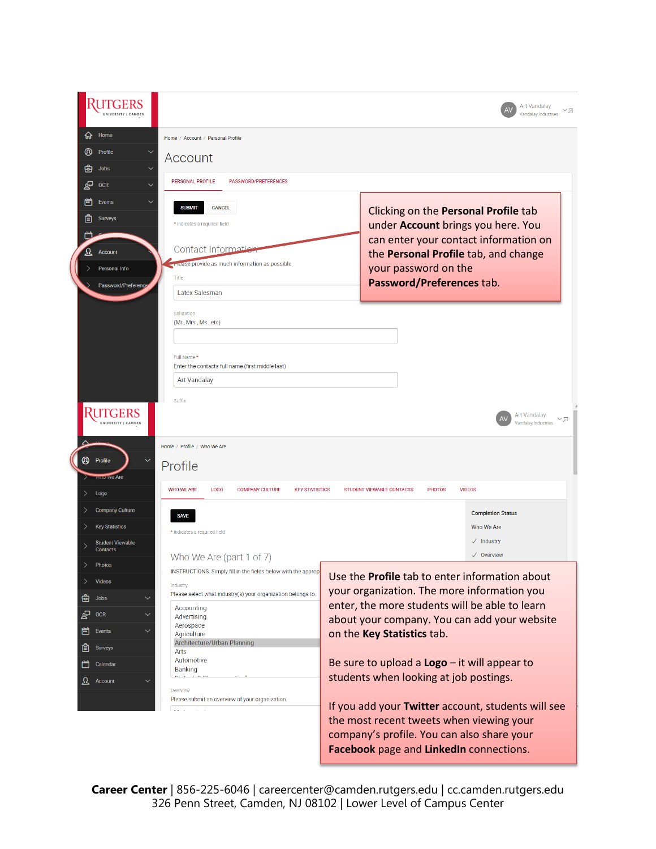